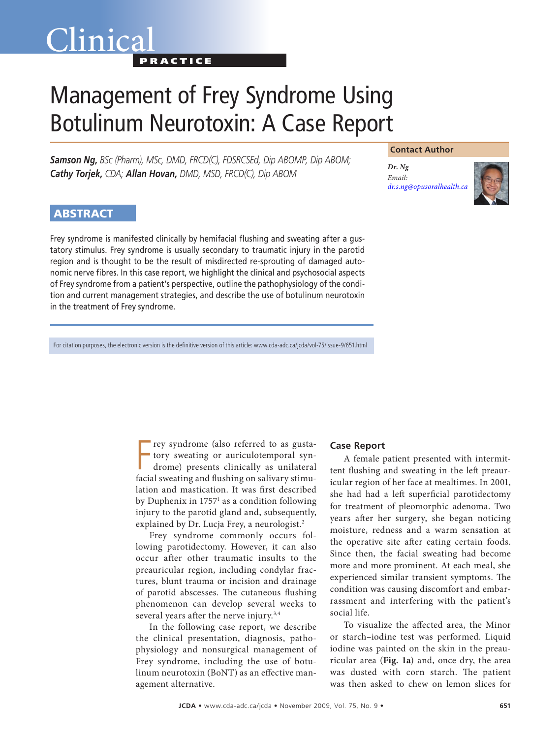# Management of Frey Syndrome Using Botulinum Neurotoxin: A Case Report

*Samson Ng, BSc (Pharm), MSc, DMD, FRCD(C), FDSRCSEd, Dip ABOMP, Dip ABOM; Cathy Torjek, CDA; Allan Hovan, DMD, MSD, FRCD(C), Dip ABOM*

**PRACTICE** 

#### **Contact Author**

*Dr. Ng Email: [dr.s.ng@opusoralhealth.ca](mailto:dr.s.ng@opusoralhealth.ca)*



# **ABSTRACT**

Clinica

Frey syndrome is manifested clinically by hemifacial flushing and sweating after a gustatory stimulus. Frey syndrome is usually secondary to traumatic injury in the parotid region and is thought to be the result of misdirected re-sprouting of damaged autonomic nerve fibres. In this case report, we highlight the clinical and psychosocial aspects of Frey syndrome from a patient's perspective, outline the pathophysiology of the condition and current management strategies, and describe the use of botulinum neurotoxin in the treatment of Frey syndrome.

For citation purposes, the electronic version is the definitive version of this article: www.cda-adc.ca/jcda/vol-75/issue-9/651.html

Frey syndrome (also referred to as gusta-<br>tory sweating or auriculotemporal syn-<br>drome) presents clinically as unilateral<br>facial sweating and flushing on salivary stimurey syndrome (also referred to as gustatory sweating or auriculotemporal syndrome) presents clinically as unilateral lation and mastication. It was first described by Duphenix in 17571 as a condition following injury to the parotid gland and, subsequently, explained by Dr. Lucja Frey, a neurologist.<sup>2</sup>

Frey syndrome commonly occurs following parotidectomy. However, it can also occur after other traumatic insults to the preauricular region, including condylar fractures, blunt trauma or incision and drainage of parotid abscesses. The cutaneous flushing phenomenon can develop several weeks to several years after the nerve injury.<sup>3,4</sup>

In the following case report, we describe the clinical presentation, diagnosis, pathophysiology and nonsurgical management of Frey syndrome, including the use of botulinum neurotoxin (BoNT) as an effective management alternative.

# **Case Report**

A female patient presented with intermittent flushing and sweating in the left preauricular region of her face at mealtimes. In 2001, she had had a left superficial parotidectomy for treatment of pleomorphic adenoma. Two years after her surgery, she began noticing moisture, redness and a warm sensation at the operative site after eating certain foods. Since then, the facial sweating had become more and more prominent. At each meal, she experienced similar transient symptoms. The condition was causing discomfort and embarrassment and interfering with the patient's social life.

To visualize the affected area, the Minor or starch–iodine test was performed. Liquid iodine was painted on the skin in the preauricular area (**Fig. 1a**) and, once dry, the area was dusted with corn starch. The patient was then asked to chew on lemon slices for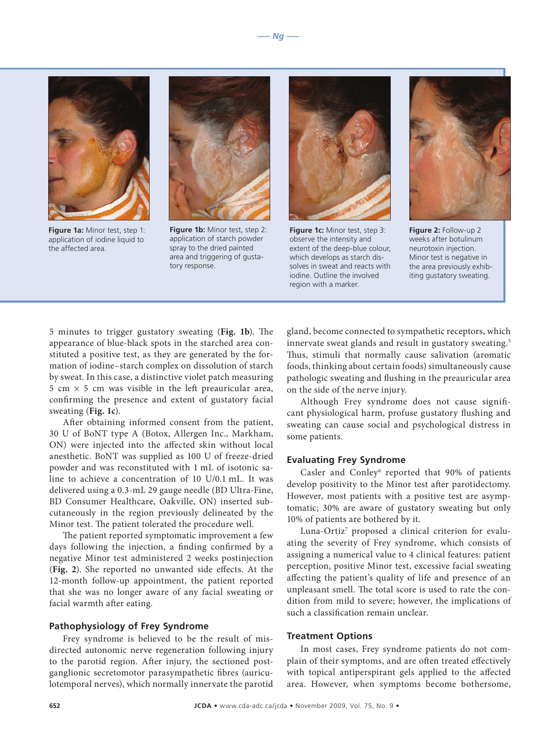

**Figure 1a:** Minor test, step 1: application of iodine liquid to the affected area.



**Figure 1b:** Minor test, step 2: application of starch powder spray to the dried painted area and triggering of gustatory response.



**Figure 1c:** Minor test, step 3: observe the intensity and extent of the deep-blue colour, which develops as starch dissolves in sweat and reacts with iodine. Outline the involved region with a marker.



**Figure 2:** Follow-up 2 weeks after botulinum neurotoxin injection. Minor test is negative in the area previously exhibiting gustatory sweating.

5 minutes to trigger gustatory sweating (**Fig. 1b**). The appearance of blue-black spots in the starched area constituted a positive test, as they are generated by the formation of iodine–starch complex on dissolution of starch by sweat. In this case, a distinctive violet patch measuring 5 cm  $\times$  5 cm was visible in the left preauricular area, confirming the presence and extent of gustatory facial sweating (**Fig. 1c**).

After obtaining informed consent from the patient, 30 U of BoNT type A (Botox, Allergen Inc., Markham, ON) were injected into the affected skin without local anesthetic. BoNT was supplied as 100 U of freeze-dried powder and was reconstituted with 1 mL of isotonic saline to achieve a concentration of 10 U/0.1 mL. It was delivered using a 0.3-mL 29 gauge needle (BD Ultra-Fine, BD Consumer Healthcare, Oakville, ON) inserted subcutaneously in the region previously delineated by the Minor test. The patient tolerated the procedure well.

The patient reported symptomatic improvement a few days following the injection, a finding confirmed by a negative Minor test administered 2 weeks postinjection (**Fig. 2**). She reported no unwanted side effects. At the 12-month follow-up appointment, the patient reported that she was no longer aware of any facial sweating or facial warmth after eating.

#### **Pathophysiology of Frey Syndrome**

Frey syndrome is believed to be the result of misdirected autonomic nerve regeneration following injury to the parotid region. After injury, the sectioned postganglionic secretomotor parasympathetic fibres (auriculotemporal nerves), which normally innervate the parotid gland, become connected to sympathetic receptors, which innervate sweat glands and result in gustatory sweating.<sup>5</sup> Thus, stimuli that normally cause salivation (aromatic foods, thinking about certain foods) simultaneously cause pathologic sweating and flushing in the preauricular area on the side of the nerve injury.

Although Frey syndrome does not cause significant physiological harm, profuse gustatory flushing and sweating can cause social and psychological distress in some patients.

#### **Evaluating Frey Syndrome**

Casler and Conley<sup>6</sup> reported that 90% of patients develop positivity to the Minor test after parotidectomy. However, most patients with a positive test are asymptomatic; 30% are aware of gustatory sweating but only 10% of patients are bothered by it.

Luna-Ortiz<sup>7</sup> proposed a clinical criterion for evaluating the severity of Frey syndrome, which consists of assigning a numerical value to 4 clinical features: patient perception, positive Minor test, excessive facial sweating affecting the patient's quality of life and presence of an unpleasant smell. The total score is used to rate the condition from mild to severe; however, the implications of such a classification remain unclear.

#### **Treatment Options**

In most cases, Frey syndrome patients do not complain of their symptoms, and are often treated effectively with topical antiperspirant gels applied to the affected area. However, when symptoms become bothersome,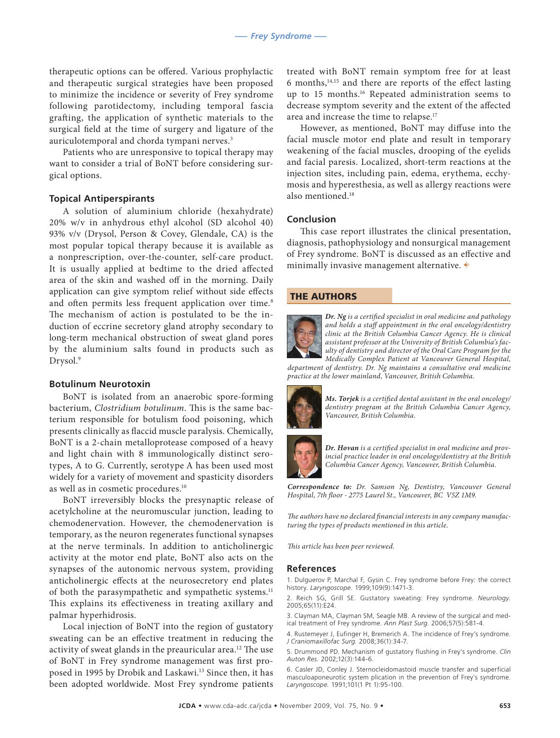therapeutic options can be offered. Various prophylactic and therapeutic surgical strategies have been proposed to minimize the incidence or severity of Frey syndrome following parotidectomy, including temporal fascia grafting, the application of synthetic materials to the surgical field at the time of surgery and ligature of the auriculotemporal and chorda tympani nerves.3

Patients who are unresponsive to topical therapy may want to consider a trial of BoNT before considering surgical options.

# **Topical Antiperspirants**

A solution of aluminium chloride (hexahydrate) 20% w/v in anhydrous ethyl alcohol (SD alcohol 40) 93% v/v (Drysol, Person & Covey, Glendale, CA) is the most popular topical therapy because it is available as a nonprescription, over-the-counter, self-care product. It is usually applied at bedtime to the dried affected area of the skin and washed off in the morning. Daily application can give symptom relief without side effects and often permits less frequent application over time.<sup>8</sup> The mechanism of action is postulated to be the induction of eccrine secretory gland atrophy secondary to long-term mechanical obstruction of sweat gland pores by the aluminium salts found in products such as Drysol.<sup>9</sup>

### **Botulinum Neurotoxin**

BoNT is isolated from an anaerobic spore-forming bacterium, *Clostridium botulinum*. This is the same bacterium responsible for botulism food poisoning, which presents clinically as flaccid muscle paralysis. Chemically, BoNT is a 2-chain metalloprotease composed of a heavy and light chain with 8 immunologically distinct serotypes, A to G. Currently, serotype A has been used most widely for a variety of movement and spasticity disorders as well as in cosmetic procedures.10

BoNT irreversibly blocks the presynaptic release of acetylcholine at the neuromuscular junction, leading to chemodenervation. However, the chemodenervation is temporary, as the neuron regenerates functional synapses at the nerve terminals. In addition to anticholinergic activity at the motor end plate, BoNT also acts on the synapses of the autonomic nervous system, providing anticholinergic effects at the neurosecretory end plates of both the parasympathetic and sympathetic systems.<sup>11</sup> This explains its effectiveness in treating axillary and palmar hyperhidrosis.

Local injection of BoNT into the region of gustatory sweating can be an effective treatment in reducing the activity of sweat glands in the preauricular area.12 The use of BoNT in Frey syndrome management was first proposed in 1995 by Drobik and Laskawi.<sup>13</sup> Since then, it has been adopted worldwide. Most Frey syndrome patients

treated with BoNT remain symptom free for at least 6 months,14,15 and there are reports of the effect lasting up to 15 months.16 Repeated administration seems to decrease symptom severity and the extent of the affected area and increase the time to relapse.17

However, as mentioned, BoNT may diffuse into the facial muscle motor end plate and result in temporary weakening of the facial muscles, drooping of the eyelids and facial paresis. Localized, short-term reactions at the injection sites, including pain, edema, erythema, ecchymosis and hyperesthesia, as well as allergy reactions were also mentioned.<sup>18</sup>

# **Conclusion**

This case report illustrates the clinical presentation, diagnosis, pathophysiology and nonsurgical management of Frey syndrome. BoNT is discussed as an effective and minimally invasive management alternative.  $\rightarrow$ 

#### THE AUTHORS



*Dr. Ng is a certified specialist in oral medicine and pathology and holds a staff appointment in the oral oncology/dentistry clinic at the British Columbia Cancer Agency. He is clinical assistant professor at the University of British Columbia's faculty of dentistry and director of the Oral Care Program for the* 

*Medically Complex Patient at Vancouver General Hospital, department of dentistry. Dr. Ng maintains a consultative oral medicine practice at the lower mainland, Vancouver, British Columbia.* 



*Ms. Torjek is a certified dental assistant in the oral oncology/ dentistry program at the British Columbia Cancer Agency, Vancouver, British Columbia.*



*Dr. Hovan is a certified specialist in oral medicine and provincial practice leader in oral oncology/dentistry at the British Columbia Cancer Agency, Vancouver, British Columbia.*

*Correspondence to: Dr. Samson Ng, Dentistry, Vancouver General Hospital, 7th floor - 2775 Laurel St., Vancouver, BC V5Z 1M9.*

*The authors have no declared financial interests in any company manufacturing the types of products mentioned in this article.*

*This article has been peer reviewed.*

#### **References**

1. Dulguerov P, Marchal F, Gysin C. Frey syndrome before Frey: the correct history. *Laryngoscope.* 1999;109(9):1471-3.

2. Reich SG, Grill SE. Gustatory sweating: Frey syndrome. *Neurology.*  2005;65(11):E24.

3. Clayman MA, Clayman SM, Seagle MB. A review of the surgical and med-ical treatment of Frey syndrome. *Ann Plast Surg.* 2006;57(5):581-4.

4. Rustemeyer J, Eufinger H, Bremerich A. The incidence of Frey's syndrome. *J Craniomaxillofac Surg.* 2008;36(1):34-7.

5. Drummond PD. Mechanism of gustatory flushing in Frey's syndrome. *Clin Auton Res.* 2002;12(3):144-6.

6. Casler JD, Conley J. Sternocleidomastoid muscle transfer and superficial masculoaponeurotic system plication in the prevention of Frey's syndrome. *Laryngoscope.* 1991;101(1 Pt 1):95-100.